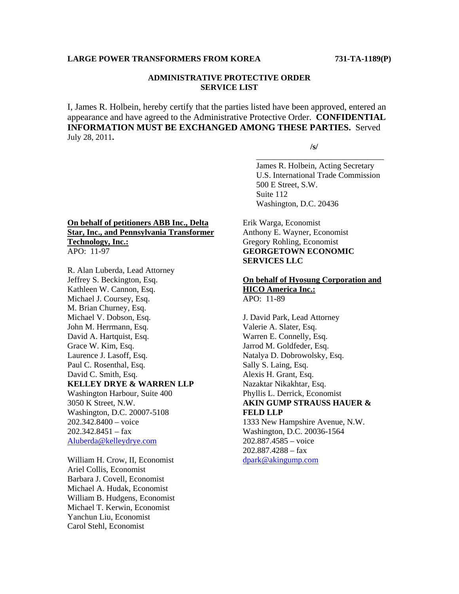# **LARGE POWER TRANSFORMERS FROM KOREA 731-TA-1189(P)**

### **ADMINISTRATIVE PROTECTIVE ORDER SERVICE LIST**

I, James R. Holbein, hereby certify that the parties listed have been approved, entered an appearance and have agreed to the Administrative Protective Order. **CONFIDENTIAL INFORMATION MUST BE EXCHANGED AMONG THESE PARTIES.** Served July 28, 2011**.** 

 $\overline{\phantom{a}}$  , and the contract of the contract of the contract of the contract of the contract of the contract of the contract of the contract of the contract of the contract of the contract of the contract of the contrac

 **/s/** 

 James R. Holbein, Acting Secretary U.S. International Trade Commission 500 E Street, S.W. Suite 112 Washington, D.C. 20436

# **On behalf of petitioners ABB Inc., Delta Star, Inc., and Pennsylvania Transformer Technology, Inc.:** APO: 11-97

R. Alan Luberda, Lead Attorney Jeffrey S. Beckington, Esq. Kathleen W. Cannon, Esq. Michael J. Coursey, Esq. M. Brian Churney, Esq. Michael V. Dobson, Esq. John M. Herrmann, Esq. David A. Hartquist, Esq. Grace W. Kim, Esq. Laurence J. Lasoff, Esq. Paul C. Rosenthal, Esq. David C. Smith, Esq. **KELLEY DRYE & WARREN LLP** Washington Harbour, Suite 400 3050 K Street, N.W. Washington, D.C. 20007-5108 202.342.8400 – voice  $202.342.8451 - fax$ Aluberda@kelleydrye.com

William H. Crow, II, Economist Ariel Collis, Economist Barbara J. Covell, Economist Michael A. Hudak, Economist William B. Hudgens, Economist Michael T. Kerwin, Economist Yanchun Liu, Economist Carol Stehl, Economist

Erik Warga, Economist Anthony E. Wayner, Economist Gregory Rohling, Economist **GEORGETOWN ECONOMIC SERVICES LLC** 

## **On behalf of Hyosung Corporation and HICO America Inc.:** APO: 11-89

J. David Park, Lead Attorney Valerie A. Slater, Esq. Warren E. Connelly, Esq. Jarrod M. Goldfeder, Esq. Natalya D. Dobrowolsky, Esq. Sally S. Laing, Esq. Alexis H. Grant, Esq. Nazaktar Nikakhtar, Esq. Phyllis L. Derrick, Economist **AKIN GUMP STRAUSS HAUER & FELD LLP** 1333 New Hampshire Avenue, N.W. Washington, D.C. 20036-1564 202.887.4585 – voice

202.887.4288 – fax dpark@akingump.com